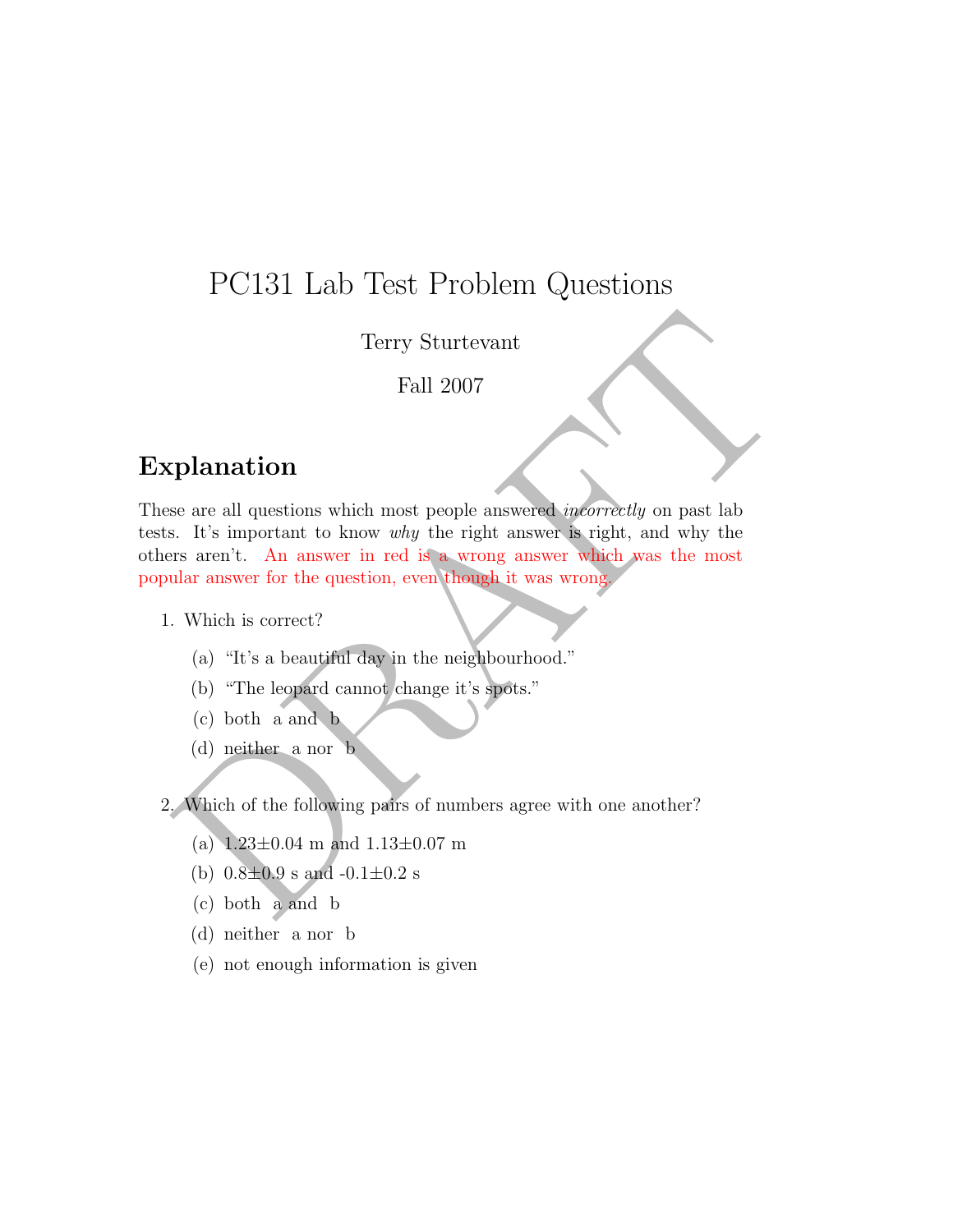## PC131 Lab Test Problem Questions

Terry Sturtevant

Fall 2007

## Explanation

Terry Sturtevant<br>
Fall 2007<br> **Container and Fall 2007**<br> **Container and Explorime Container and Solution**<br>
Fall 2007<br> **Container and Solution**<br> **Container and Solution**<br> **Container and Solution**<br> **Container and B**<br> **Contai** These are all questions which most people answered *incorrectly* on past lab tests. It's important to know why the right answer is right, and why the others aren't. An answer in red is a wrong answer which was the most popular answer for the question, even though it was wrong.

1. Which is correct?

- (a) "It's a beautiful day in the neighbourhood."
- (b) "The leopard cannot change it's spots."
- (c) both a and b
- (d) neither a nor b

2. Which of the following pairs of numbers agree with one another?

- (a)  $1.23\pm0.04$  m and  $1.13\pm0.07$  m
- (b)  $0.8 \pm 0.9$  s and  $-0.1 \pm 0.2$  s
- (c) both a and b
- (d) neither a nor b
- (e) not enough information is given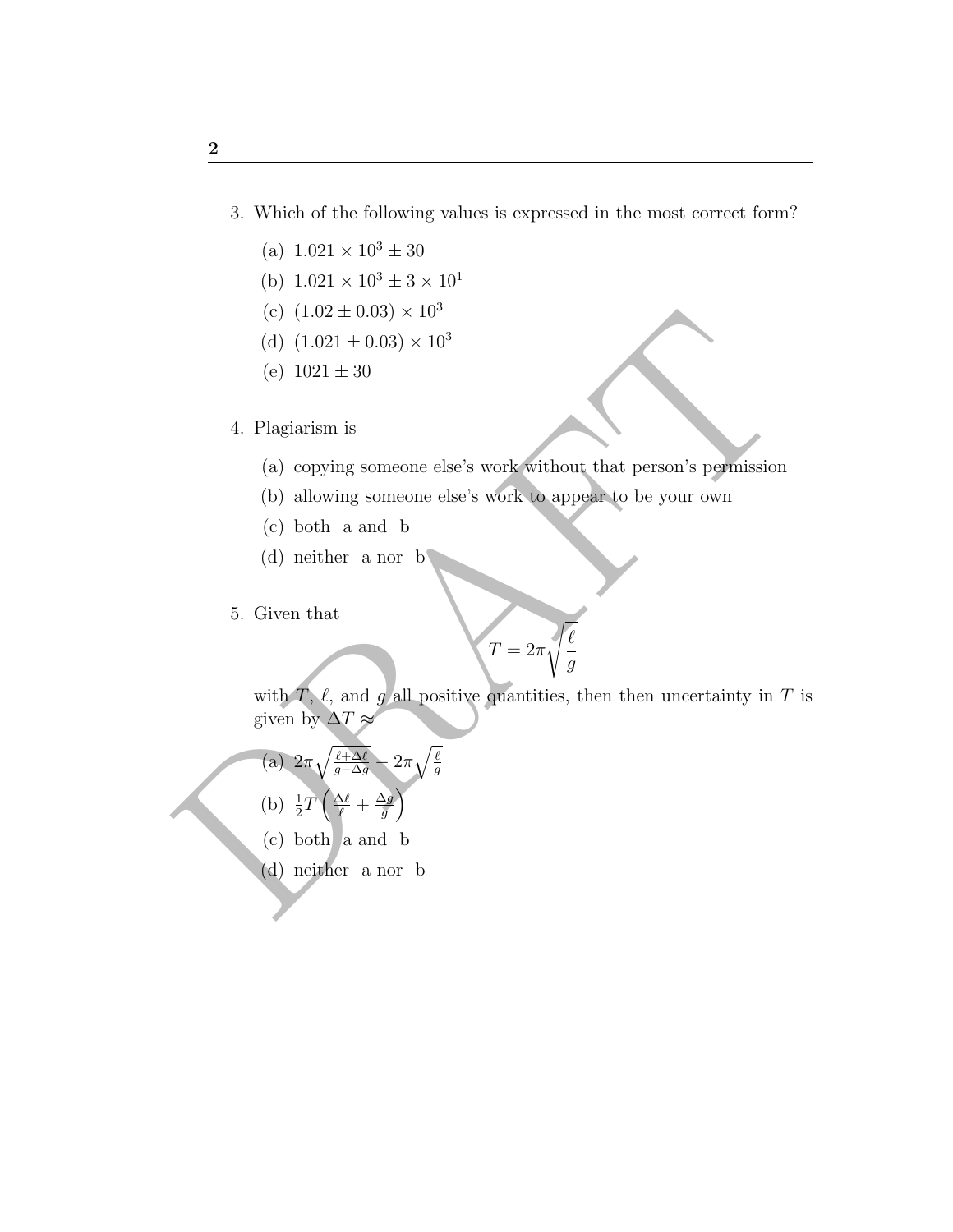- 3. Which of the following values is expressed in the most correct form?
	- (a)  $1.021 \times 10^3 \pm 30$
	- (b)  $1.021 \times 10^3 \pm 3 \times 10^1$
	- (c)  $(1.02 \pm 0.03) \times 10^3$
	- (d)  $(1.021 \pm 0.03) \times 10^3$
	- (e)  $1021 \pm 30$
- 4. Plagiarism is
	- (a) copying someone else's work without that person's permission
	- (b) allowing someone else's work to appear to be your own

 $\boldsymbol{T}$ 

- (c) both a and b
- (d) neither a nor b
- 5. Given that

$$
=2\pi\sqrt{\frac{\ell}{g}}
$$

(c)  $(1.02 \pm 0.03) \times 10^{3}$ <br>
(d)  $(1.021 \pm 0.03) \times 10^{3}$ <br>
(c)  $1021 \pm 30$ <br>
4. Plagiarism is<br>
(a) copying someone else's work without that person's permission<br>
(b) allowing someone else's work to appear to be your own<br>
(c with  $T, \ell$ , and g all positive quantities, then then uncertainty in T is given by  $\Delta T \approx$ 

(a) 
$$
2\pi \sqrt{\frac{\ell + \Delta \ell}{g - \Delta g}} - 2\pi \sqrt{\frac{\ell}{g}}
$$

- (b)  $\frac{1}{2}T\left(\frac{\Delta\ell}{\ell}+\frac{\Delta g}{g}\right)$  $\frac{\Delta g}{g}$
- (c) both a and b
- (d) neither a nor b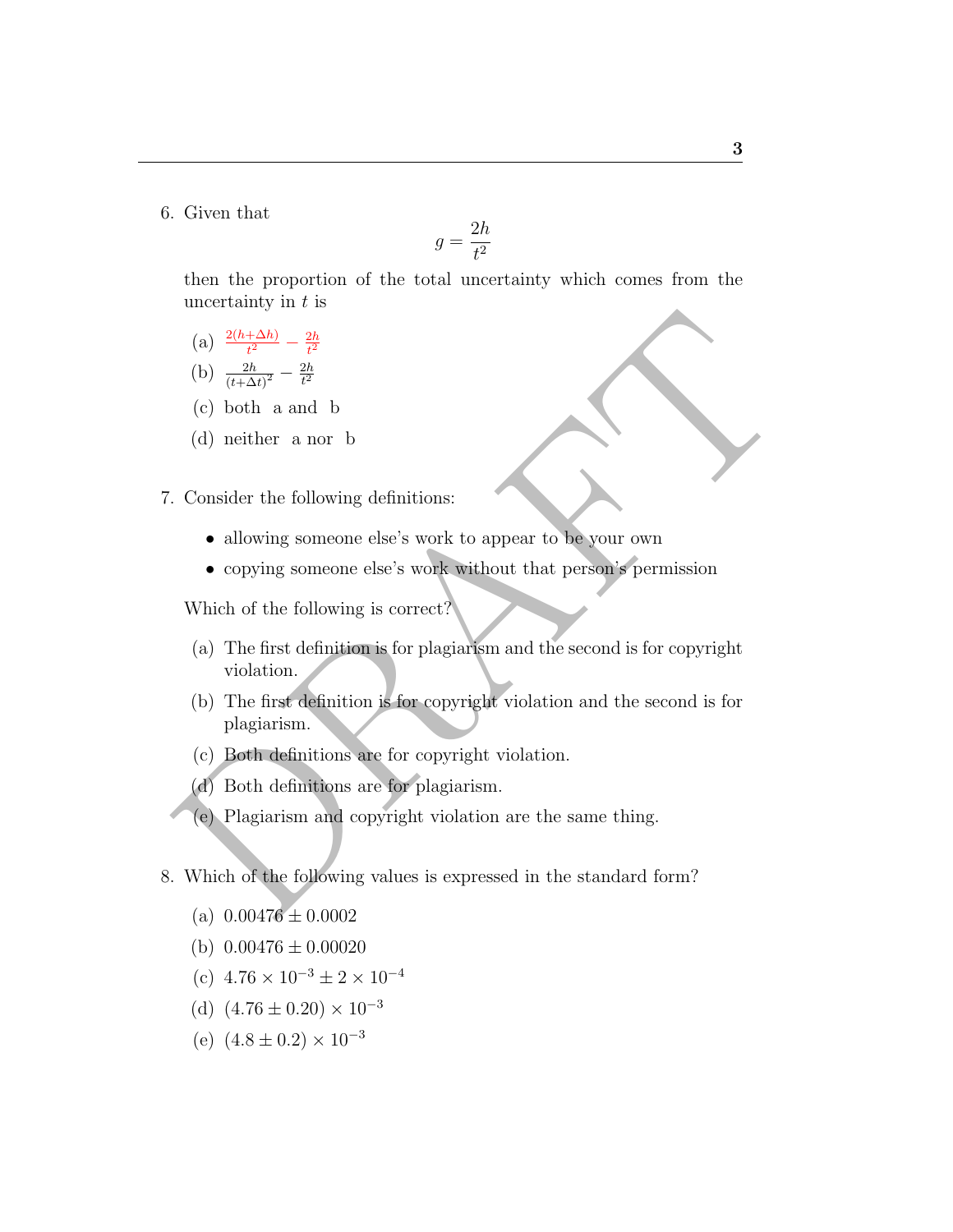6. Given that

$$
g=\frac{2h}{t^2}
$$

then the proportion of the total uncertainty which comes from the uncertainty in  $t$  is

(a)  $\frac{2(h+\Delta h)}{t^2} - \frac{2h}{t^2}$  $t^2$ 

(b) 
$$
\frac{2h}{(t+\Delta t)^2} - \frac{2h}{t^2}
$$

- (c) both a and b
- (d) neither a nor b
- 7. Consider the following definitions:
	- allowing someone else's work to appear to be your own
	- copying someone else's work without that person's permission

Which of the following is correct?

- (a) The first definition is for plagiarism and the second is for copyright violation.
- (a)  $\frac{2(b+\Delta h)}{(t+\Delta)^2} = \frac{2b}{t^2}$ <br>
(c) both a and b<br>
(d) neither a nor b<br>
Consider the following definitions:<br>
allowing someone else's work to appear to be your own<br>
copying someone else's work without that person's permi (b) The first definition is for copyright violation and the second is for plagiarism.
	- (c) Both definitions are for copyright violation.
	- (d) Both definitions are for plagiarism.
	- (e) Plagiarism and copyright violation are the same thing.
- 8. Which of the following values is expressed in the standard form?
	- (a)  $0.00476 \pm 0.0002$
	- (b)  $0.00476 \pm 0.00020$
	- (c)  $4.76 \times 10^{-3} \pm 2 \times 10^{-4}$
	- (d)  $(4.76 \pm 0.20) \times 10^{-3}$
	- (e)  $(4.8 \pm 0.2) \times 10^{-3}$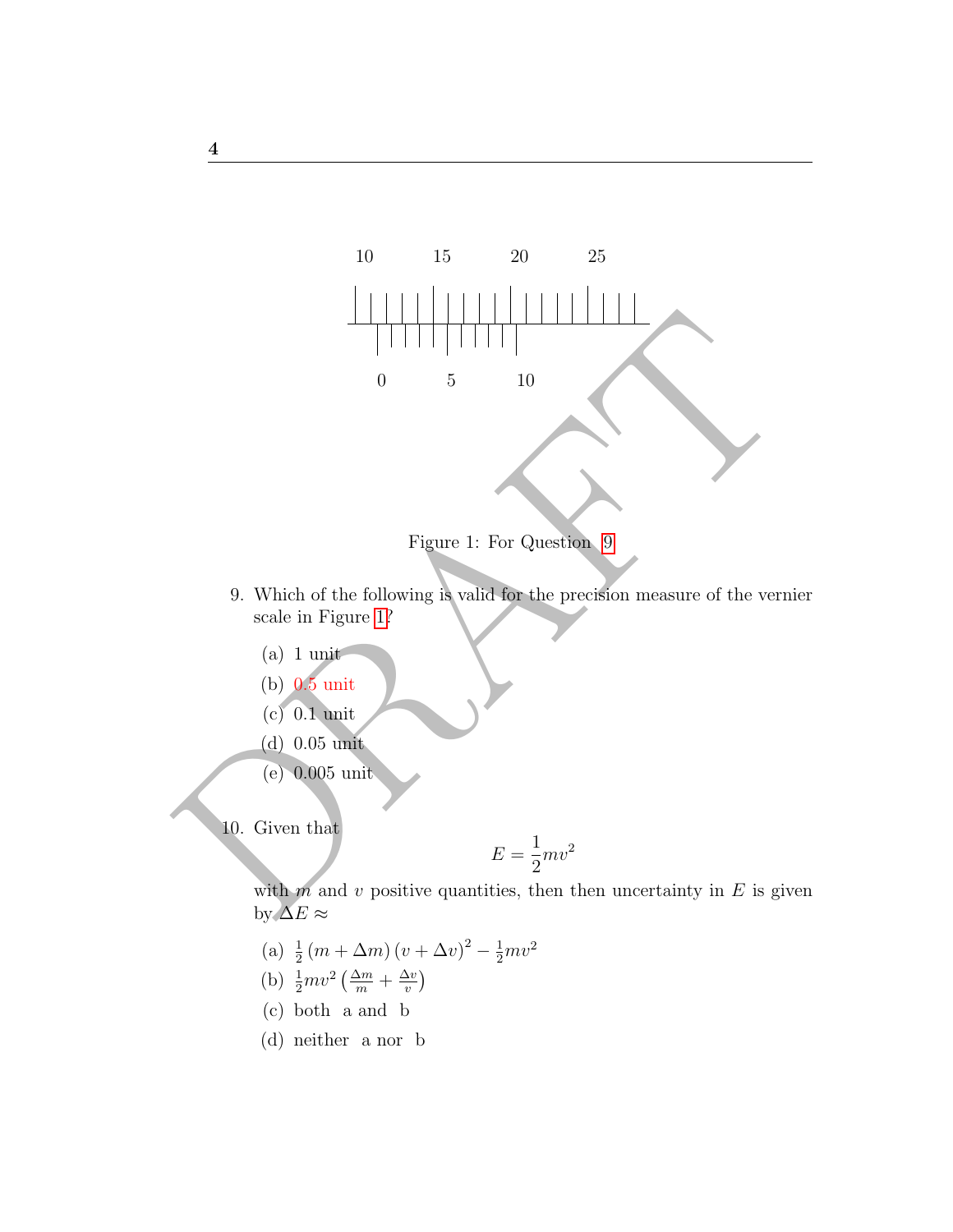

<span id="page-3-1"></span>Figure 1: For Question 9

- <span id="page-3-0"></span>9. Which of the following is valid for the precision measure of the vernier scale in Figure 1?
	- (a) 1 unit
	- (b) 0.5 unit
	- (c) 0.1 unit
	- (d) 0.05 unit
	- (e) 0.005 unit

10. Given that

$$
E = \frac{1}{2}mv^2
$$

with  $m$  and  $v$  positive quantities, then then uncertainty in  $E$  is given by  $\Delta E \approx$ 

- (a)  $\frac{1}{2}(m + \Delta m)(v + \Delta v)^2 \frac{1}{2}mv^2$
- (b)  $\frac{1}{2}mv^2\left(\frac{\Delta m}{m} + \frac{\Delta v}{v}\right)$  $\frac{\Delta v}{v}$
- (c) both a and b
- (d) neither a nor b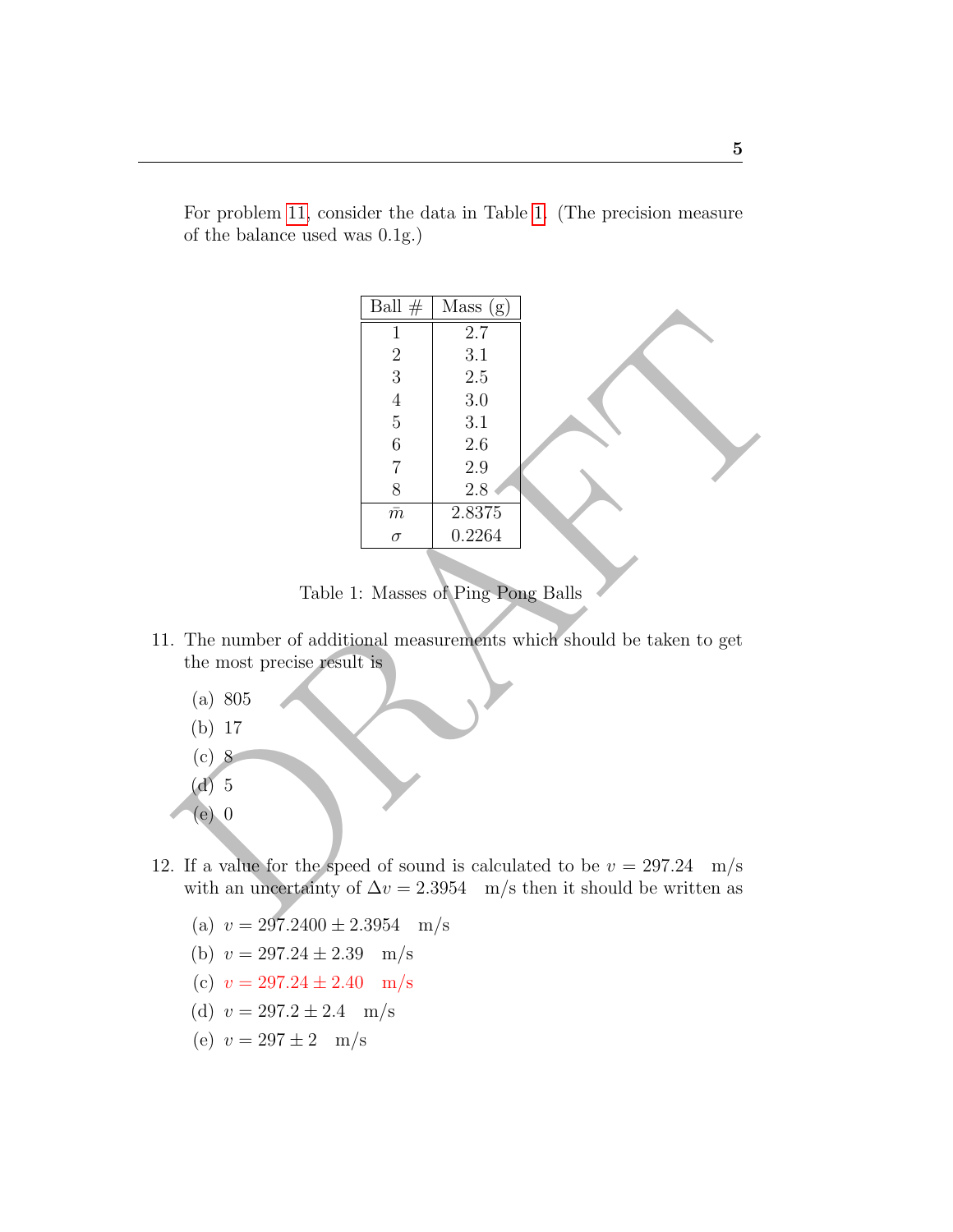|                                                                                                                                                                                                                                                                                                                                                                                                          | Ball $#$       | Mass(g) |  |
|----------------------------------------------------------------------------------------------------------------------------------------------------------------------------------------------------------------------------------------------------------------------------------------------------------------------------------------------------------------------------------------------------------|----------------|---------|--|
|                                                                                                                                                                                                                                                                                                                                                                                                          | 1              | $2.7\,$ |  |
|                                                                                                                                                                                                                                                                                                                                                                                                          | $\sqrt{2}$     | 3.1     |  |
|                                                                                                                                                                                                                                                                                                                                                                                                          | $\overline{3}$ | 2.5     |  |
|                                                                                                                                                                                                                                                                                                                                                                                                          | $\overline{4}$ | 3.0     |  |
|                                                                                                                                                                                                                                                                                                                                                                                                          | $\mathbf 5$    | 3.1     |  |
|                                                                                                                                                                                                                                                                                                                                                                                                          | $\,6$          | $2.6\,$ |  |
|                                                                                                                                                                                                                                                                                                                                                                                                          | $\overline{7}$ | $2.9\,$ |  |
|                                                                                                                                                                                                                                                                                                                                                                                                          | 8              | 2.8     |  |
|                                                                                                                                                                                                                                                                                                                                                                                                          | $\bar{m}$      | 2.8375  |  |
|                                                                                                                                                                                                                                                                                                                                                                                                          | $\sigma$       | 0.2264  |  |
| Table 1: Masses of Ping Pong Balls<br>The number of additional measurements which should be taken to get<br>the most precise result is<br>(a) 805<br>17<br>(b)<br>$(c)$ 8<br>$(d)$ 5<br>$(e)$ 0<br>. If a value for the speed of sound is calculated to be $v = 297.24$<br>$\rm m/s$<br>with an uncertainty of $\Delta v = 2.3954$ m/s then it should be written as<br>$\sqrt{2}$<br>$0.070100 + 0.0051$ |                |         |  |

For problem [11,](#page-4-0) consider the data in Table [1.](#page-4-1) (The precision measure of the balance used was 0.1g.)

<span id="page-4-1"></span>Table 1: Masses of Ping Pong Balls

- <span id="page-4-0"></span>11. The number of additional measurements which should be taken to get the most precise result is
	- (a) 805
	- (b) 17
	- (c) 8
	- (d) 5
	- (e) 0
- 12. If a value for the speed of sound is calculated to be  $v = 297.24$  m/s with an uncertainty of  $\Delta v = 2.3954$  m/s then it should be written as
	- (a)  $v = 297.2400 \pm 2.3954$  m/s
	- (b)  $v = 297.24 \pm 2.39$  m/s
	- (c)  $v = 297.24 \pm 2.40$  m/s
	- (d)  $v = 297.2 \pm 2.4$  m/s
	- (e)  $v = 297 \pm 2$  m/s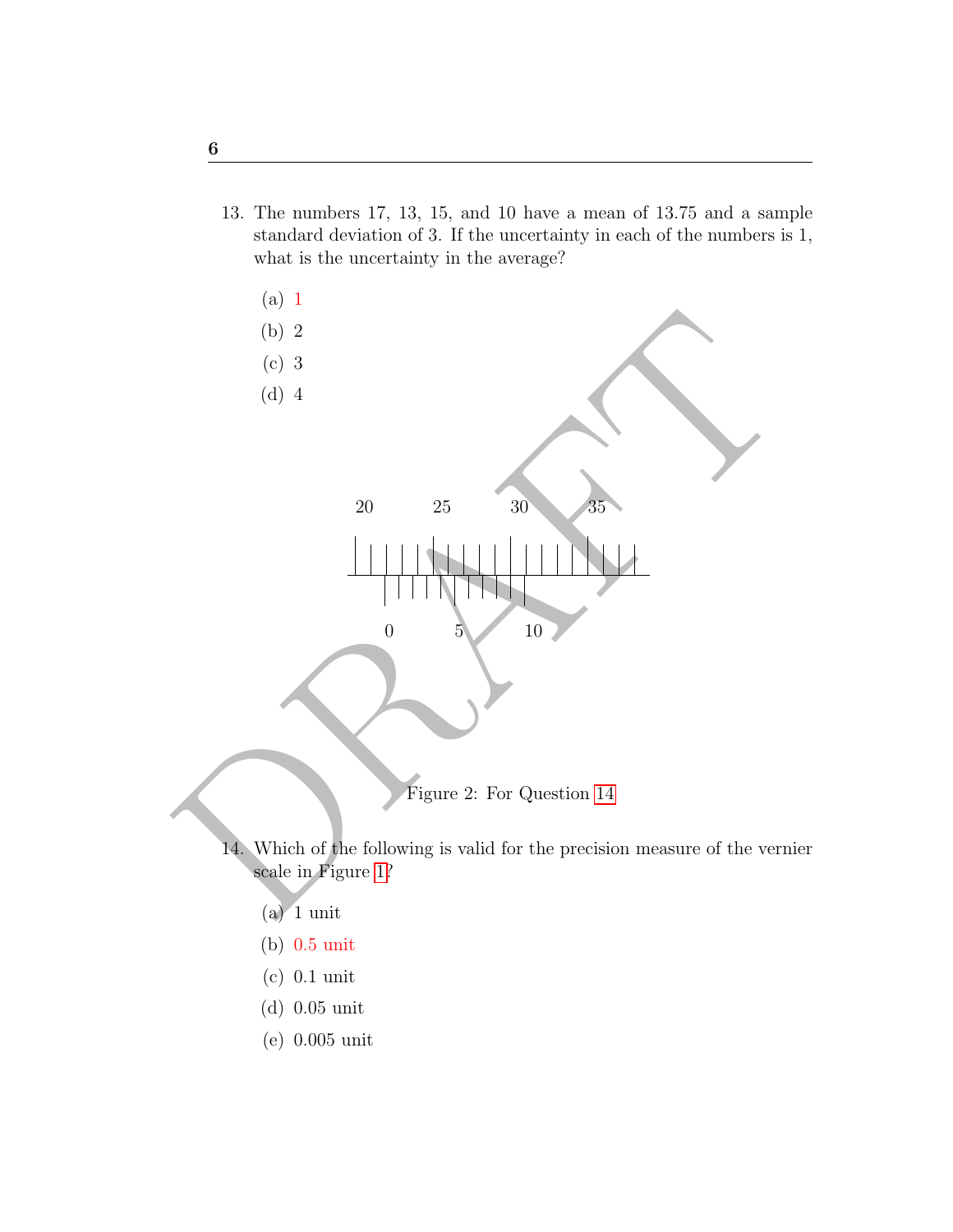13. The numbers 17, 13, 15, and 10 have a mean of 13.75 and a sample standard deviation of 3. If the uncertainty in each of the numbers is 1, what is the uncertainty in the average?



- <span id="page-5-0"></span>14. Which of the following is valid for the precision measure of the vernier scale in Figure 1?
	- $(a)$  1 unit
	- (b) 0.5 unit
	- (c) 0.1 unit
	- (d) 0.05 unit
	- (e) 0.005 unit